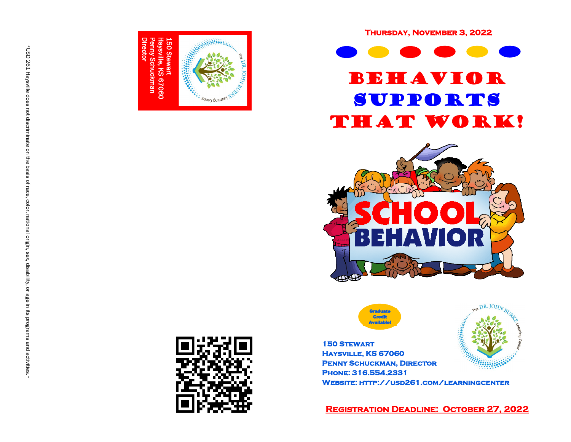**Thursday, November 3, 2022** 



## Behavior Supports THAT WORK!





**150 Stewart Haysville, KS 67060 Penny Schuckman, Director Phone: 316.554.2331 Website: http://usd261.com/learningcenter** 



 $DR$ . JOH $N_{B}$ 

**Secretary**